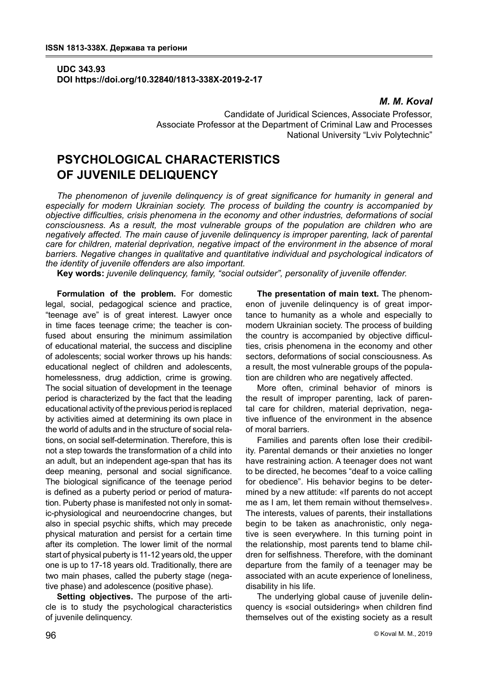## **UDC 343.93 DOI https://doi.org/10.32840/1813-338X-2019-2-17**

### *M. M. Koval*

Candidate of Juridical Sciences, Associate Professor, Associate Professor at the Department of Criminal Law and Processes National University "Lviv Polytechnic"

# **PSYCHOLOGICAL CHARACTERISTICS OF JUVENILE DELIQUENCY**

*The phenomenon of juvenile delinquency is of great significance for humanity in general and especially for modern Ukrainian society. The process of building the country is accompanied by objective difficulties, crisis phenomena in the economy and other industries, deformations of social consciousness. As a result, the most vulnerable groups of the population are children who are negatively affected. The main cause of juvenile delinquency is improper parenting, lack of parental care for children, material deprivation, negative impact of the environment in the absence of moral barriers. Negative changes in qualitative and quantitative individual and psychological indicators of the identity of juvenile offenders are also important.*

**Key words:** *juvenile delinquency, family, "social outsider", personality of juvenile offender.*

**Formulation of the problem.** For domestic legal, social, pedagogical science and practice, "teenage ave" is of great interest. Lawyer once in time faces teenage crime; the teacher is confused about ensuring the minimum assimilation of educational material, the success and discipline of adolescents; social worker throws up his hands: educational neglect of children and adolescents, homelessness, drug addiction, crime is growing. The social situation of development in the teenage period is characterized by the fact that the leading educational activity of the previous period is replaced by activities aimed at determining its own place in the world of adults and in the structure of social relations, on social self-determination. Therefore, this is not a step towards the transformation of a child into an adult, but an independent age-span that has its deep meaning, personal and social significance. The biological significance of the teenage period is defined as a puberty period or period of maturation. Puberty phase is manifested not only in somatic-physiological and neuroendocrine changes, but also in special psychic shifts, which may precede physical maturation and persist for a certain time after its completion. The lower limit of the normal start of physical puberty is 11-12 years old, the upper one is up to 17-18 years old. Traditionally, there are two main phases, called the puberty stage (negative phase) and adolescence (positive phase).

**Setting objectives.** The purpose of the article is to study the psychological characteristics of juvenile delinquency.

**The presentation of main text.** The phenomenon of juvenile delinquency is of great importance to humanity as a whole and especially to modern Ukrainian society. The process of building the country is accompanied by objective difficulties, crisis phenomena in the economy and other sectors, deformations of social consciousness. As a result, the most vulnerable groups of the population are children who are negatively affected.

More often, criminal behavior of minors is the result of improper parenting, lack of parental care for children, material deprivation, negative influence of the environment in the absence of moral barriers.

Families and parents often lose their credibility. Parental demands or their anxieties no longer have restraining action. A teenager does not want to be directed, he becomes "deaf to a voice calling for obedience". His behavior begins to be determined by a new attitude: «If parents do not accept me as I am, let them remain without themselves». The interests, values of parents, their installations begin to be taken as anachronistic, only negative is seen everywhere. In this turning point in the relationship, most parents tend to blame children for selfishness. Therefore, with the dominant departure from the family of a teenager may be associated with an acute experience of loneliness, disability in his life.

The underlying global cause of juvenile delinquency is «social outsidering» when children find themselves out of the existing society as a result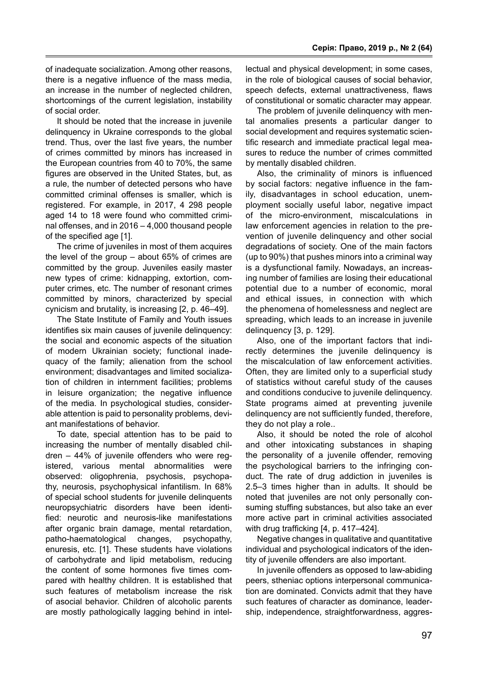of inadequate socialization. Among other reasons, there is a negative influence of the mass media, an increase in the number of neglected children, shortcomings of the current legislation, instability of social order.

It should be noted that the increase in juvenile delinquency in Ukraine corresponds to the global trend. Thus, over the last five years, the number of crimes committed by minors has increased in the European countries from 40 to 70%, the same figures are observed in the United States, but, as a rule, the number of detected persons who have committed criminal offenses is smaller, which is registered. For example, in 2017, 4 298 people aged 14 to 18 were found who committed criminal offenses, and in 2016 – 4,000 thousand people of the specified age [1].

The crime of juveniles in most of them acquires the level of the group – about 65% of crimes are committed by the group. Juveniles easily master new types of crime: kidnapping, extortion, computer crimes, etc. The number of resonant crimes committed by minors, characterized by special cynicism and brutality, is increasing [2, p. 46–49].

The State Institute of Family and Youth issues identifies six main causes of juvenile delinquency: the social and economic aspects of the situation of modern Ukrainian society; functional inadequacy of the family; alienation from the school environment; disadvantages and limited socialization of children in internment facilities; problems in leisure organization; the negative influence of the media. In psychological studies, considerable attention is paid to personality problems, deviant manifestations of behavior.

To date, special attention has to be paid to increasing the number of mentally disabled children – 44% of juvenile offenders who were registered, various mental abnormalities were observed: oligophrenia, psychosis, psychopathy, neurosis, psychophysical infantilism. In 68% of special school students for juvenile delinquents neuropsychiatric disorders have been identified: neurotic and neurosis-like manifestations after organic brain damage, mental retardation, patho-haematological changes, psychopathy, enuresis, etc. [1]. These students have violations of carbohydrate and lipid metabolism, reducing the content of some hormones five times compared with healthy children. It is established that such features of metabolism increase the risk of asocial behavior. Children of alcoholic parents are mostly pathologically lagging behind in intellectual and physical development; in some cases, in the role of biological causes of social behavior, speech defects, external unattractiveness, flaws of constitutional or somatic character may appear.

The problem of juvenile delinquency with mental anomalies presents a particular danger to social development and requires systematic scientific research and immediate practical legal measures to reduce the number of crimes committed by mentally disabled children.

Also, the criminality of minors is influenced by social factors: negative influence in the family, disadvantages in school education, unemployment socially useful labor, negative impact of the micro-environment, miscalculations in law enforcement agencies in relation to the prevention of juvenile delinquency and other social degradations of society. One of the main factors (up to 90%) that pushes minors into a criminal way is a dysfunctional family. Nowadays, an increasing number of families are losing their educational potential due to a number of economic, moral and ethical issues, in connection with which the phenomena of homelessness and neglect are spreading, which leads to an increase in juvenile delinquency [3, p. 129].

Also, one of the important factors that indirectly determines the juvenile delinquency is the miscalculation of law enforcement activities. Often, they are limited only to a superficial study of statistics without careful study of the causes and conditions conducive to juvenile delinquency. State programs aimed at preventing juvenile delinquency are not sufficiently funded, therefore, they do not play a role..

Also, it should be noted the role of alcohol and other intoxicating substances in shaping the personality of a juvenile offender, removing the psychological barriers to the infringing conduct. The rate of drug addiction in juveniles is 2.5–3 times higher than in adults. It should be noted that juveniles are not only personally consuming stuffing substances, but also take an ever more active part in criminal activities associated with drug trafficking [4, p. 417–424].

Negative changes in qualitative and quantitative individual and psychological indicators of the identity of juvenile offenders are also important.

In juvenile offenders as opposed to law-abiding peers, stheniac options interpersonal communication are dominated. Convicts admit that they have such features of character as dominance, leadership, independence, straightforwardness, aggres-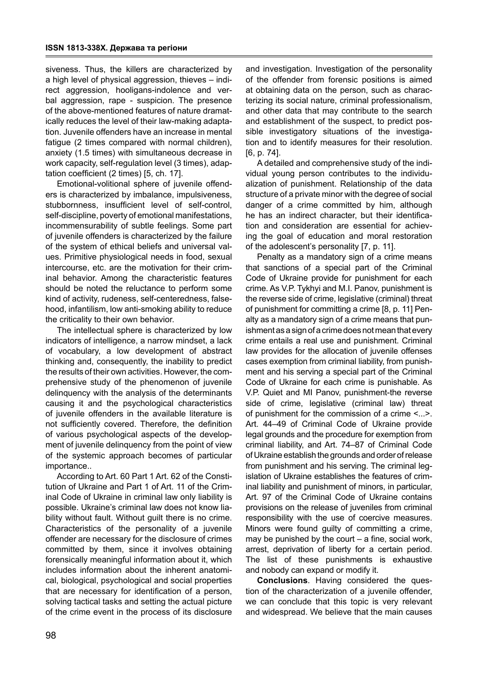siveness. Thus, the killers are characterized by a high level of physical aggression, thieves – indirect aggression, hooligans-indolence and verbal aggression, rape - suspicion. The presence of the above-mentioned features of nature dramatically reduces the level of their law-making adaptation. Juvenile offenders have an increase in mental fatigue (2 times compared with normal children), anxiety (1.5 times) with simultaneous decrease in work capacity, self-regulation level (3 times), adaptation coefficient (2 times) [5, сh. 17].

Emotional-volitional sphere of juvenile offenders is characterized by imbalance, impulsiveness, stubbornness, insufficient level of self-control, self-discipline, poverty of emotional manifestations, incommensurability of subtle feelings. Some part of juvenile offenders is characterized by the failure of the system of ethical beliefs and universal values. Primitive physiological needs in food, sexual intercourse, etc. are the motivation for their criminal behavior. Among the characteristic features should be noted the reluctance to perform some kind of activity, rudeness, self-centeredness, falsehood, infantilism, low anti-smoking ability to reduce the criticality to their own behavior.

The intellectual sphere is characterized by low indicators of intelligence, a narrow mindset, a lack of vocabulary, a low development of abstract thinking and, consequently, the inability to predict the results of their own activities. However, the comprehensive study of the phenomenon of juvenile delinquency with the analysis of the determinants causing it and the psychological characteristics of juvenile offenders in the available literature is not sufficiently covered. Therefore, the definition of various psychological aspects of the development of juvenile delinquency from the point of view of the systemic approach becomes of particular importance..

According to Art. 60 Part 1 Art. 62 of the Constitution of Ukraine and Part 1 of Art. 11 of the Criminal Code of Ukraine in criminal law only liability is possible. Ukraine's criminal law does not know liability without fault. Without guilt there is no crime. Characteristics of the personality of a juvenile offender are necessary for the disclosure of crimes committed by them, since it involves obtaining forensically meaningful information about it, which includes information about the inherent anatomical, biological, psychological and social properties that are necessary for identification of a person, solving tactical tasks and setting the actual picture of the crime event in the process of its disclosure

and investigation. Investigation of the personality of the offender from forensic positions is aimed at obtaining data on the person, such as characterizing its social nature, criminal professionalism, and other data that may contribute to the search and establishment of the suspect, to predict possible investigatory situations of the investigation and to identify measures for their resolution. [6, p. 74].

A detailed and comprehensive study of the individual young person contributes to the individualization of punishment. Relationship of the data structure of a private minor with the degree of social danger of a crime committed by him, although he has an indirect character, but their identification and consideration are essential for achieving the goal of education and moral restoration of the adolescent's personality [7, p. 11].

Penalty as a mandatory sign of a crime means that sanctions of a special part of the Criminal Code of Ukraine provide for punishment for each crime. As V.P. Tykhyi and M.I. Panov, punishment is the reverse side of crime, legislative (criminal) threat of punishment for committing a crime [8, p. 11] Penalty as a mandatory sign of a crime means that punishment as a sign of a crime does not mean that every crime entails a real use and punishment. Criminal law provides for the allocation of juvenile offenses cases exemption from criminal liability, from punishment and his serving a special part of the Criminal Code of Ukraine for each crime is punishable. As V.P. Quiet and MI Panov, punishment-the reverse side of crime, legislative (criminal law) threat of punishment for the commission of a crime <...>. Art. 44–49 of Criminal Code of Ukraine provide legal grounds and the procedure for exemption from criminal liability, and Art. 74–87 of Criminal Code of Ukraine establish the grounds and order of release from punishment and his serving. The criminal legislation of Ukraine establishes the features of criminal liability and punishment of minors, in particular, Art. 97 of the Criminal Code of Ukraine contains provisions on the release of juveniles from criminal responsibility with the use of coercive measures. Minors were found guilty of committing a crime, may be punished by the court – a fine, social work, arrest, deprivation of liberty for a certain period. The list of these punishments is exhaustive and nobody can expand or modify it.

**Conclusions**. Having considered the question of the characterization of a juvenile offender, we can conclude that this topic is very relevant and widespread. We believe that the main causes